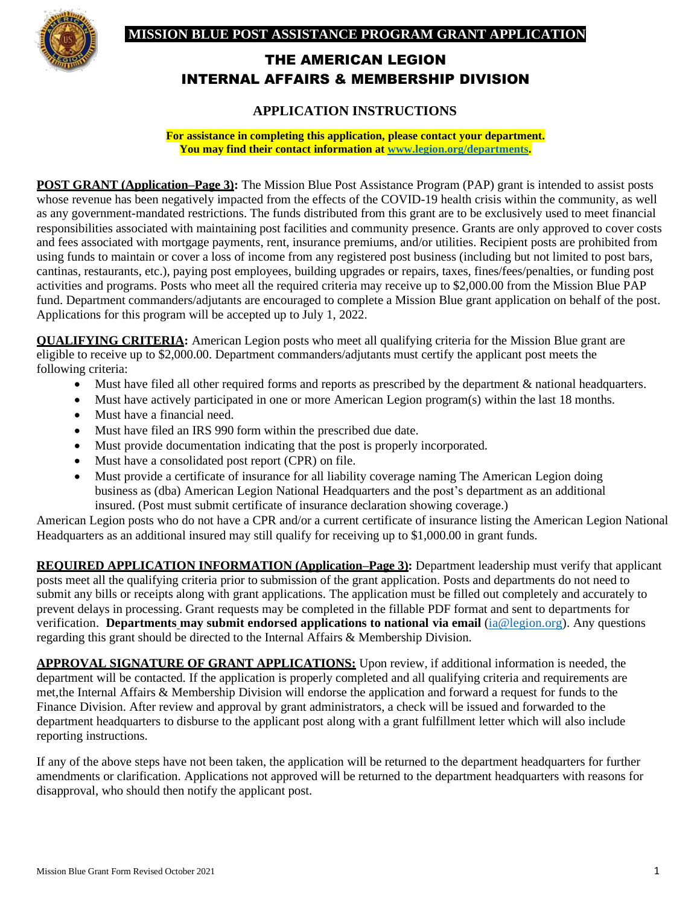## **MISSION BLUE POST ASSISTANCE PROGRAM GRANT APPLICATION**



# THE AMERICAN LEGION INTERNAL AFFAIRS & MEMBERSHIP DIVISION

## **APPLICATION INSTRUCTIONS**

**For assistance in completing this application, please contact your department. You may find their contact information at www.legion.org/departments.**

**POST GRANT (Application–Page 3):** The Mission Blue Post Assistance Program (PAP) grant is intended to assist posts whose revenue has been negatively impacted from the effects of the COVID-19 health crisis within the community, as well as any government-mandated restrictions. The funds distributed from this grant are to be exclusively used to meet financial responsibilities associated with maintaining post facilities and community presence. Grants are only approved to cover costs and fees associated with mortgage payments, rent, insurance premiums, and/or utilities. Recipient posts are prohibited from using funds to maintain or cover a loss of income from any registered post business (including but not limited to post bars, cantinas, restaurants, etc.), paying post employees, building upgrades or repairs, taxes, fines/fees/penalties, or funding post activities and programs. Posts who meet all the required criteria may receive up to \$2,000.00 from the Mission Blue PAP fund. Department commanders/adjutants are encouraged to complete a Mission Blue grant application on behalf of the post. Applications for this program will be accepted up to July 1, 2022.

**QUALIFYING CRITERIA:** American Legion posts who meet all qualifying criteria for the Mission Blue grant are eligible to receive up to \$2,000.00. Department commanders/adjutants must certify the applicant post meets the following criteria:

- Must have filed all other required forms and reports as prescribed by the department & national headquarters.
- Must have actively participated in one or more American Legion program(s) within the last 18 months.
- Must have a financial need.
- Must have filed an IRS 990 form within the prescribed due date.
- Must provide documentation indicating that the post is properly incorporated.
- Must have a consolidated post report (CPR) on file.
- Must provide a certificate of insurance for all liability coverage naming The American Legion doing business as (dba) American Legion National Headquarters and the post's department as an additional insured. (Post must submit certificate of insurance declaration showing coverage.)

American Legion posts who do not have a CPR and/or a current certificate of insurance listing the American Legion National Headquarters as an additional insured may still qualify for receiving up to \$1,000.00 in grant funds.

**REQUIRED APPLICATION INFORMATION (Application–Page 3):** Department leadership must verify that applicant posts meet all the qualifying criteria prior to submission of the grant application. Posts and departments do not need to submit any bills or receipts along with grant applications. The application must be filled out completely and accurately to prevent delays in processing. Grant requests may be completed in the fillable PDF format and sent to departments for verification. **Departments may submit endorsed applications to national via email** [\(ia@legion.org\)](mailto:ia@legion.org). Any questions regarding this grant should be directed to the Internal Affairs & Membership Division.

**APPROVAL SIGNATURE OF GRANT APPLICATIONS:** Upon review, if additional information is needed, the department will be contacted. If the application is properly completed and all qualifying criteria and requirements are met,the Internal Affairs & Membership Division will endorse the application and forward a request for funds to the Finance Division. After review and approval by grant administrators, a check will be issued and forwarded to the department headquarters to disburse to the applicant post along with a grant fulfillment letter which will also include reporting instructions.

If any of the above steps have not been taken, the application will be returned to the department headquarters for further amendments or clarification. Applications not approved will be returned to the department headquarters with reasons for disapproval, who should then notify the applicant post.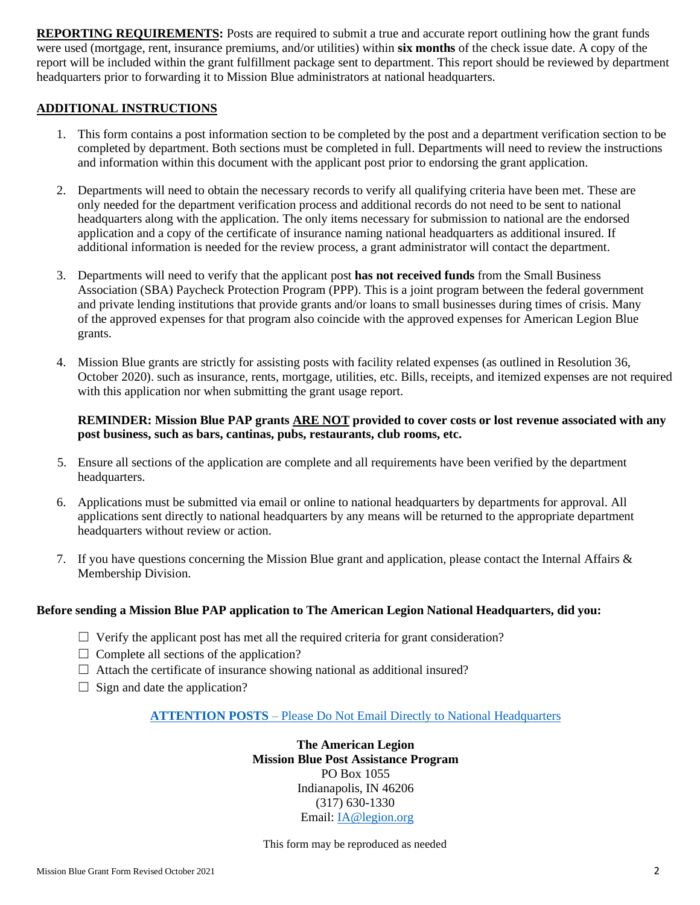**REPORTING REQUIREMENTS:** Posts are required to submit a true and accurate report outlining how the grant funds were used (mortgage, rent, insurance premiums, and/or utilities) within **six months** of the check issue date. A copy of the report will be included within the grant fulfillment package sent to department. This report should be reviewed by department headquarters prior to forwarding it to Mission Blue administrators at national headquarters.

#### **ADDITIONAL INSTRUCTIONS**

- 1. This form contains a post information section to be completed by the post and a department verification section to be completed by department. Both sections must be completed in full. Departments will need to review the instructions and information within this document with the applicant post prior to endorsing the grant application.
- 2. Departments will need to obtain the necessary records to verify all qualifying criteria have been met. These are only needed for the department verification process and additional records do not need to be sent to national headquarters along with the application. The only items necessary for submission to national are the endorsed application and a copy of the certificate of insurance naming national headquarters as additional insured. If additional information is needed for the review process, a grant administrator will contact the department.
- 3. Departments will need to verify that the applicant post **has not received funds** from the Small Business Association (SBA) Paycheck Protection Program (PPP). This is a joint program between the federal government and private lending institutions that provide grants and/or loans to small businesses during times of crisis. Many of the approved expenses for that program also coincide with the approved expenses for American Legion Blue grants.
- 4. Mission Blue grants are strictly for assisting posts with facility related expenses (as outlined in Resolution 36, October 2020). such as insurance, rents, mortgage, utilities, etc. Bills, receipts, and itemized expenses are not required with this application nor when submitting the grant usage report.

#### **REMINDER: Mission Blue PAP grants ARE NOT provided to cover costs or lost revenue associated with any post business, such as bars, cantinas, pubs, restaurants, club rooms, etc.**

- 5. Ensure all sections of the application are complete and all requirements have been verified by the department headquarters.
- 6. Applications must be submitted via email or online to national headquarters by departments for approval. All applications sent directly to national headquarters by any means will be returned to the appropriate department headquarters without review or action.
- 7. If you have questions concerning the Mission Blue grant and application, please contact the Internal Affairs & Membership Division.

### **Before sending a Mission Blue PAP application to The American Legion National Headquarters, did you:**

- $\Box$  Verify the applicant post has met all the required criteria for grant consideration?
- $\Box$  Complete all sections of the application?
- $\Box$  Attach the certificate of insurance showing national as additional insured?
- $\Box$  Sign and date the application?

### **ATTENTION POSTS** – Please Do Not Email Directly to National Headquarters

**The American Legion Mission Blue Post Assistance Program** PO Box 1055 Indianapolis, IN 46206 (317) 630-1330 Email: [IA@legion.org](mailto:IA@legion.org)

This form may be reproduced as needed